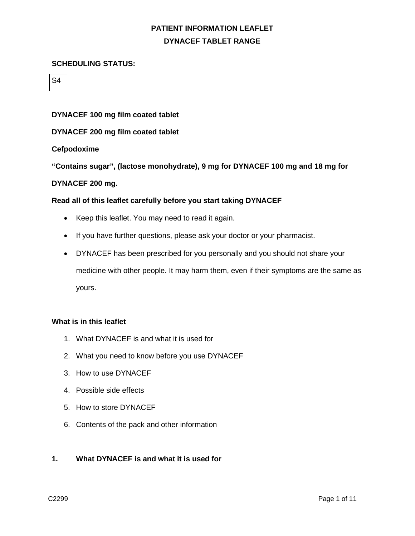#### **SCHEDULING STATUS:**

S4

#### **DYNACEF 100 mg film coated tablet**

### **DYNACEF 200 mg film coated tablet**

#### **Cefpodoxime**

**"Contains sugar", (lactose monohydrate), 9 mg for DYNACEF 100 mg and 18 mg for** 

#### **DYNACEF 200 mg.**

#### **Read all of this leaflet carefully before you start taking DYNACEF**

- Keep this leaflet. You may need to read it again.
- If you have further questions, please ask your doctor or your pharmacist.
- DYNACEF has been prescribed for you personally and you should not share your medicine with other people. It may harm them, even if their symptoms are the same as yours.

#### **What is in this leaflet**

- 1. What DYNACEF is and what it is used for
- 2. What you need to know before you use DYNACEF
- 3. How to use DYNACEF
- 4. Possible side effects
- 5. How to store DYNACEF
- 6. Contents of the pack and other information

#### **1. What DYNACEF is and what it is used for**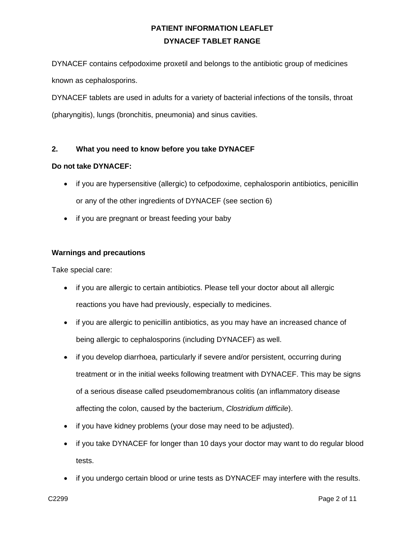DYNACEF contains cefpodoxime proxetil and belongs to the antibiotic group of medicines known as cephalosporins.

DYNACEF tablets are used in adults for a variety of bacterial infections of the tonsils, throat (pharyngitis), lungs (bronchitis, pneumonia) and sinus cavities.

## **2. What you need to know before you take DYNACEF**

#### **Do not take DYNACEF:**

- if you are hypersensitive (allergic) to cefpodoxime, cephalosporin antibiotics, penicillin or any of the other ingredients of DYNACEF (see section 6)
- if you are pregnant or breast feeding your baby

### **Warnings and precautions**

Take special care:

- if you are allergic to certain antibiotics. Please tell your doctor about all allergic reactions you have had previously, especially to medicines.
- if you are allergic to penicillin antibiotics, as you may have an increased chance of being allergic to cephalosporins (including DYNACEF) as well.
- if you develop diarrhoea, particularly if severe and/or persistent, occurring during treatment or in the initial weeks following treatment with DYNACEF. This may be signs of a serious disease called pseudomembranous colitis (an inflammatory disease affecting the colon, caused by the bacterium, *Clostridium difficile*).
- if you have kidney problems (your dose may need to be adjusted).
- if you take DYNACEF for longer than 10 days your doctor may want to do regular blood tests.
- if you undergo certain blood or urine tests as DYNACEF may interfere with the results.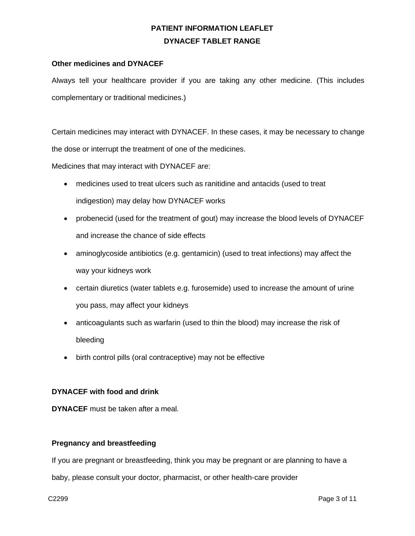### **Other medicines and DYNACEF**

Always tell your healthcare provider if you are taking any other medicine. (This includes complementary or traditional medicines.)

Certain medicines may interact with DYNACEF. In these cases, it may be necessary to change the dose or interrupt the treatment of one of the medicines.

Medicines that may interact with DYNACEF are:

- medicines used to treat ulcers such as ranitidine and antacids (used to treat indigestion) may delay how DYNACEF works
- probenecid (used for the treatment of gout) may increase the blood levels of DYNACEF and increase the chance of side effects
- aminoglycoside antibiotics (e.g. gentamicin) (used to treat infections) may affect the way your kidneys work
- certain diuretics (water tablets e.g. furosemide) used to increase the amount of urine you pass, may affect your kidneys
- anticoagulants such as warfarin (used to thin the blood) may increase the risk of bleeding
- birth control pills (oral contraceptive) may not be effective

### **DYNACEF with food and drink**

**DYNACEF** must be taken after a meal.

### **Pregnancy and breastfeeding**

If you are pregnant or breastfeeding, think you may be pregnant or are planning to have a

baby, please consult your doctor, pharmacist, or other health-care provider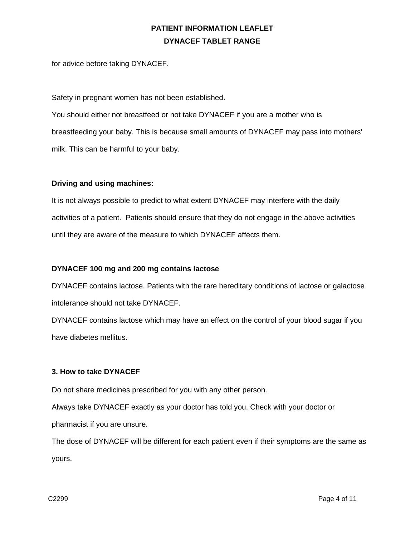for advice before taking DYNACEF.

Safety in pregnant women has not been established.

You should either not breastfeed or not take DYNACEF if you are a mother who is breastfeeding your baby. This is because small amounts of DYNACEF may pass into mothers' milk. This can be harmful to your baby.

## **Driving and using machines:**

It is not always possible to predict to what extent DYNACEF may interfere with the daily activities of a patient. Patients should ensure that they do not engage in the above activities until they are aware of the measure to which DYNACEF affects them.

### **DYNACEF 100 mg and 200 mg contains lactose**

DYNACEF contains lactose. Patients with the rare hereditary conditions of lactose or galactose intolerance should not take DYNACEF.

DYNACEF contains lactose which may have an effect on the control of your blood sugar if you have diabetes mellitus.

## **3. How to take DYNACEF**

Do not share medicines prescribed for you with any other person.

Always take DYNACEF exactly as your doctor has told you. Check with your doctor or pharmacist if you are unsure.

The dose of DYNACEF will be different for each patient even if their symptoms are the same as yours.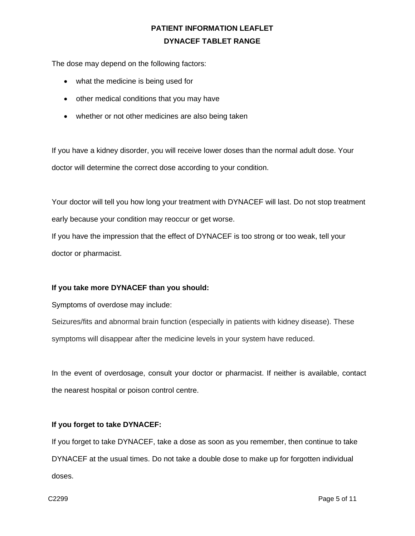The dose may depend on the following factors:

- what the medicine is being used for
- other medical conditions that you may have
- whether or not other medicines are also being taken

If you have a kidney disorder, you will receive lower doses than the normal adult dose. Your doctor will determine the correct dose according to your condition.

Your doctor will tell you how long your treatment with DYNACEF will last. Do not stop treatment early because your condition may reoccur or get worse.

If you have the impression that the effect of DYNACEF is too strong or too weak, tell your doctor or pharmacist.

### **If you take more DYNACEF than you should:**

Symptoms of overdose may include:

Seizures/fits and abnormal brain function (especially in patients with kidney disease). These symptoms will disappear after the medicine levels in your system have reduced.

In the event of overdosage, consult your doctor or pharmacist. If neither is available, contact the nearest hospital or poison control centre.

### **If you forget to take DYNACEF:**

If you forget to take DYNACEF, take a dose as soon as you remember, then continue to take DYNACEF at the usual times. Do not take a double dose to make up for forgotten individual doses.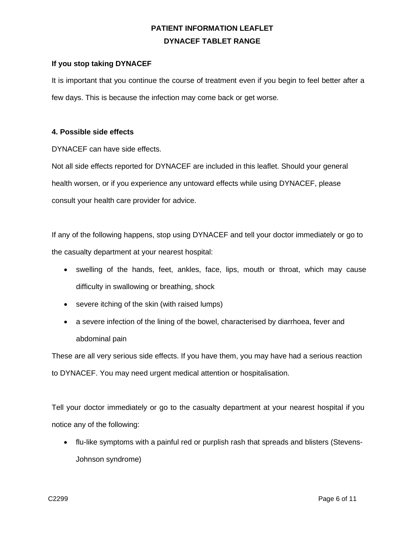### **If you stop taking DYNACEF**

It is important that you continue the course of treatment even if you begin to feel better after a few days. This is because the infection may come back or get worse.

#### **4. Possible side effects**

DYNACEF can have side effects.

Not all side effects reported for DYNACEF are included in this leaflet. Should your general health worsen, or if you experience any untoward effects while using DYNACEF, please consult your health care provider for advice.

If any of the following happens, stop using DYNACEF and tell your doctor immediately or go to the casualty department at your nearest hospital:

- swelling of the hands, feet, ankles, face, lips, mouth or throat, which may cause difficulty in swallowing or breathing, shock
- severe itching of the skin (with raised lumps)
- a severe infection of the lining of the bowel, characterised by diarrhoea, fever and abdominal pain

These are all very serious side effects. If you have them, you may have had a serious reaction to DYNACEF. You may need urgent medical attention or hospitalisation.

Tell your doctor immediately or go to the casualty department at your nearest hospital if you notice any of the following:

• flu-like symptoms with a painful red or purplish rash that spreads and blisters (Stevens-Johnson syndrome)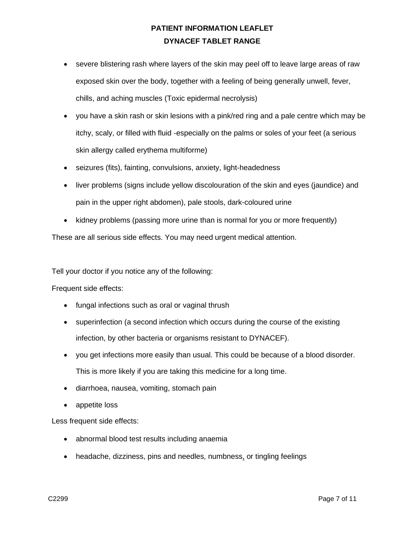- severe blistering rash where layers of the skin may peel off to leave large areas of raw exposed skin over the body, together with a feeling of being generally unwell, fever, chills, and aching muscles (Toxic epidermal necrolysis)
- you have a skin rash or skin lesions with a pink/red ring and a pale centre which may be itchy, scaly, or filled with fluid -especially on the palms or soles of your feet (a serious skin allergy called erythema multiforme)
- seizures (fits), fainting, convulsions, anxiety, light-headedness
- liver problems (signs include yellow discolouration of the skin and eyes (jaundice) and pain in the upper right abdomen), pale stools, dark-coloured urine
- kidney problems (passing more urine than is normal for you or more frequently)

These are all serious side effects. You may need urgent medical attention.

Tell your doctor if you notice any of the following:

Frequent side effects:

- fungal infections such as oral or vaginal thrush
- superinfection (a second infection which occurs during the course of the existing infection, by other bacteria or organisms resistant to DYNACEF).
- you get infections more easily than usual. This could be because of a blood disorder. This is more likely if you are taking this medicine for a long time.
- diarrhoea, nausea, vomiting, stomach pain
- appetite loss

Less frequent side effects:

- abnormal blood test results including anaemia
- headache, dizziness, pins and needles, numbness, or tingling feelings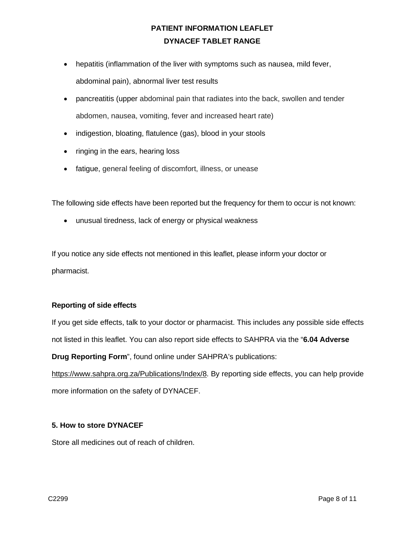- hepatitis (inflammation of the liver with symptoms such as nausea, mild fever, abdominal pain), abnormal liver test results
- pancreatitis (upper abdominal pain that radiates into the back, swollen and tender abdomen, nausea, vomiting, fever and increased heart rate)
- indigestion, bloating, flatulence (gas), blood in your stools
- ringing in the ears, hearing loss
- fatigue, general feeling of discomfort, illness, or unease

The following side effects have been reported but the frequency for them to occur is not known:

• unusual tiredness, lack of energy or physical weakness

If you notice any side effects not mentioned in this leaflet, please inform your doctor or pharmacist.

### **Reporting of side effects**

If you get side effects, talk to your doctor or pharmacist. This includes any possible side effects not listed in this leaflet. You can also report side effects to SAHPRA via the "**6.04 Adverse** 

**Drug Reporting Form**", found online under SAHPRA's publications:

[https://www.sahpra.org.za/Publications/Index/8.](https://www.sahpra.org.za/Publications/Index/8) By reporting side effects, you can help provide more information on the safety of DYNACEF.

### **5. How to store DYNACEF**

Store all medicines out of reach of children.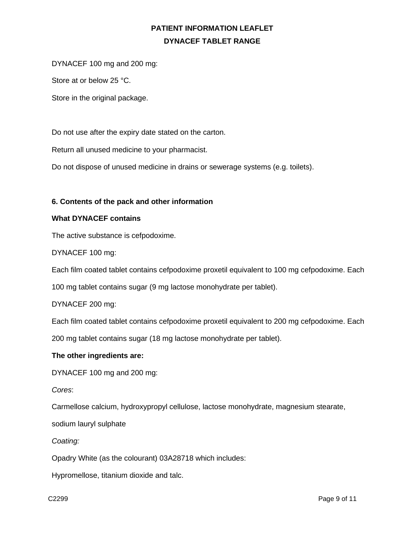DYNACEF 100 mg and 200 mg:

Store at or below 25 °C.

Store in the original package.

Do not use after the expiry date stated on the carton.

Return all unused medicine to your pharmacist.

Do not dispose of unused medicine in drains or sewerage systems (e.g. toilets).

#### **6. Contents of the pack and other information**

#### **What DYNACEF contains**

The active substance is cefpodoxime.

DYNACEF 100 mg:

Each film coated tablet contains cefpodoxime proxetil equivalent to 100 mg cefpodoxime. Each

100 mg tablet contains sugar (9 mg lactose monohydrate per tablet).

DYNACEF 200 mg:

Each film coated tablet contains cefpodoxime proxetil equivalent to 200 mg cefpodoxime. Each

200 mg tablet contains sugar (18 mg lactose monohydrate per tablet).

#### **The other ingredients are:**

DYNACEF 100 mg and 200 mg:

*Cores*:

Carmellose calcium, hydroxypropyl cellulose, lactose monohydrate, magnesium stearate,

sodium lauryl sulphate

*Coating:*

Opadry White (as the colourant) 03A28718 which includes:

Hypromellose, titanium dioxide and talc.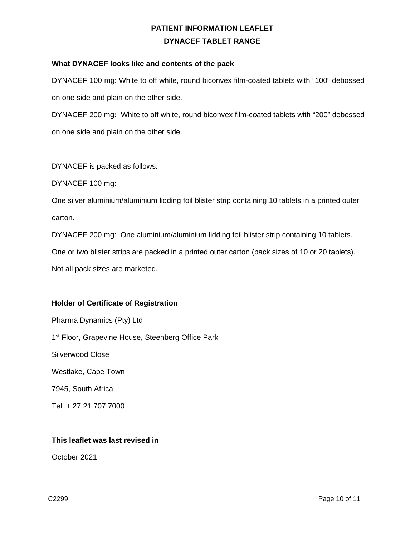### **What DYNACEF looks like and contents of the pack**

DYNACEF 100 mg: White to off white, round biconvex film-coated tablets with "100" debossed on one side and plain on the other side.

DYNACEF 200 mg**:** White to off white, round biconvex film-coated tablets with "200" debossed on one side and plain on the other side.

DYNACEF is packed as follows:

DYNACEF 100 mg:

One silver aluminium/aluminium lidding foil blister strip containing 10 tablets in a printed outer carton.

DYNACEF 200 mg: One aluminium/aluminium lidding foil blister strip containing 10 tablets.

One or two blister strips are packed in a printed outer carton (pack sizes of 10 or 20 tablets).

Not all pack sizes are marketed.

### **Holder of Certificate of Registration**

Pharma Dynamics (Pty) Ltd 1<sup>st</sup> Floor, Grapevine House, Steenberg Office Park Silverwood Close Westlake, Cape Town 7945, South Africa Tel: + 27 21 707 7000

#### **This leaflet was last revised in**

October 2021